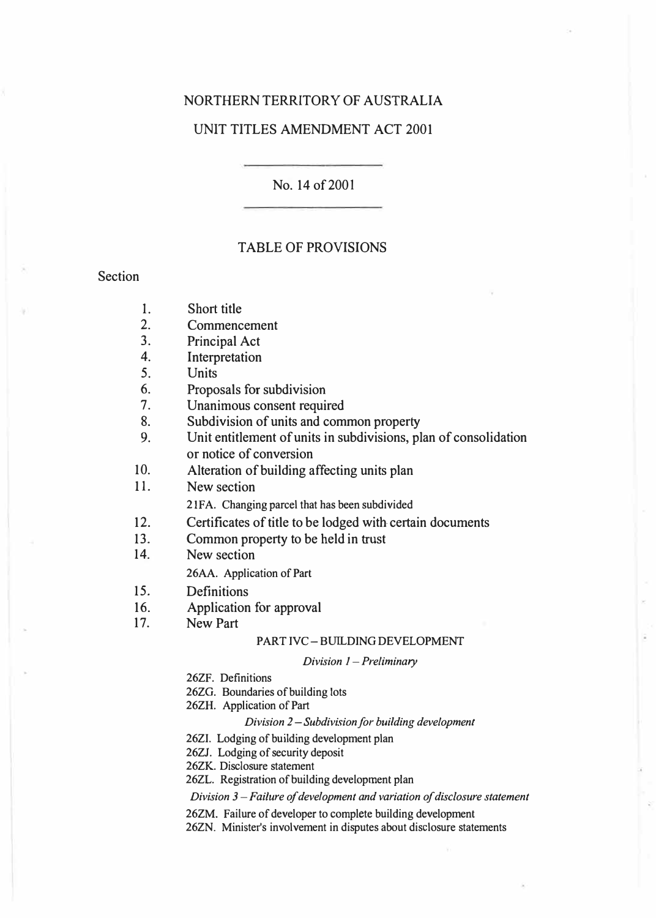## NORTHERN TERRITORY OF AUSTRALIA

### UNIT TITLES AMENDMENT ACT 2001

No. 14 of 2001

### TABLE OF PROVISIONS

### Section

- 1. Short title<br>2. Commenc
- **Commencement**
- 3. Principal Act
- 4. Interpretation<br>5. Units
- 5. Units
- 6. Proposals for subdivision
- 7. Unanimous consent required<br>8. Subdivision of units and com
- Subdivision of units and common property
- 9. Unit entitlement of units in subdivisions, plan of consolidation or notice of conversion

10. Alteration of building affecting units plan

11. New section

**2 lF A. Changing parcel that has been subdivided**

- 12. Certificates of title to be lodged with certain documents
- 13. Common property to be held in trust<br>14. New section
- New section

**26AA. Application of Part**

- 15. Definitions
- 16. Application for approval
- 17. New Part

### **PART IVC-BUILDING DEVELOPMENT**

### *Division I* **-***Preliminary*

- **26ZF. Definitions**
- **26ZG. Boundaries of building lots**
- **26ZH. Application of Part**

### *Division 2* **-***Subdivision for building development*

- **26ZI. Lodging of building development plan**
- **26ZJ. Lodging of security deposit**

**26ZK. Disclosure statement** 

**26ZL. Registration of building development plan** 

*Division 3* **-***Failure of development and variation of disclosure statement* 

- **26ZM. Failure of developer to complete building development**
- **26ZN. Minister's involvement in disputes about disclosure statements**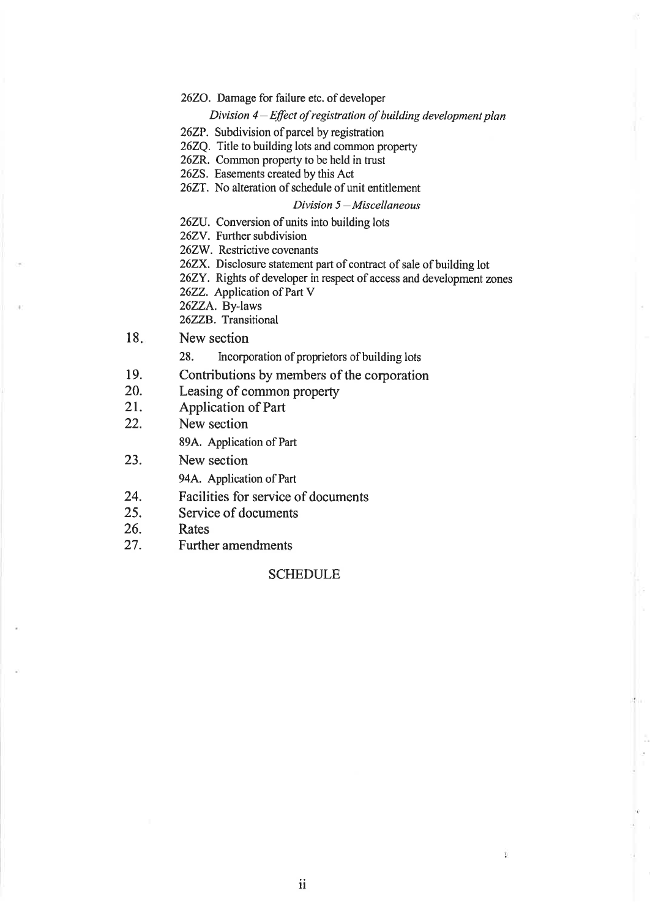### 2620. Damage for failure etc. of developer

### Division  $4$ -Effect of registration of building development plan

- 26ZP. Subdivision of parcel by registration
- 262Q. Title to building lots and common properry
- 262R. Common property to be held in trust
- 2625. Easements created by this Act
- 262T. No alteration of schedule of unit entitlement

### $Division 5 - Miscellaneous$

- 262U. Conversion of units into building lots
- 26ZV. Further subdivision
- 262W. Restrictive covenants
- 26ZX. Disclosure statement part of contract of sale of building lot
- 26ZY. Rights of developer in respect of access and development zones
- 2622. Application of Part V
- 262ZA. By-laws

26ZZB. Transitional

- l8 New section
	- 28. Incorporation of proprietors of building lots
- 19. Contributions by members of the corporation
- 20. Leasing of common property
- 21. Application of Part
- 22. New section

894. Application of Part

23. New section

944. Application of Part

- 24. Facilities for service of documents
- 25. Service of documents
- 26. Rates
- 27. Further amendments

### **SCHEDULE**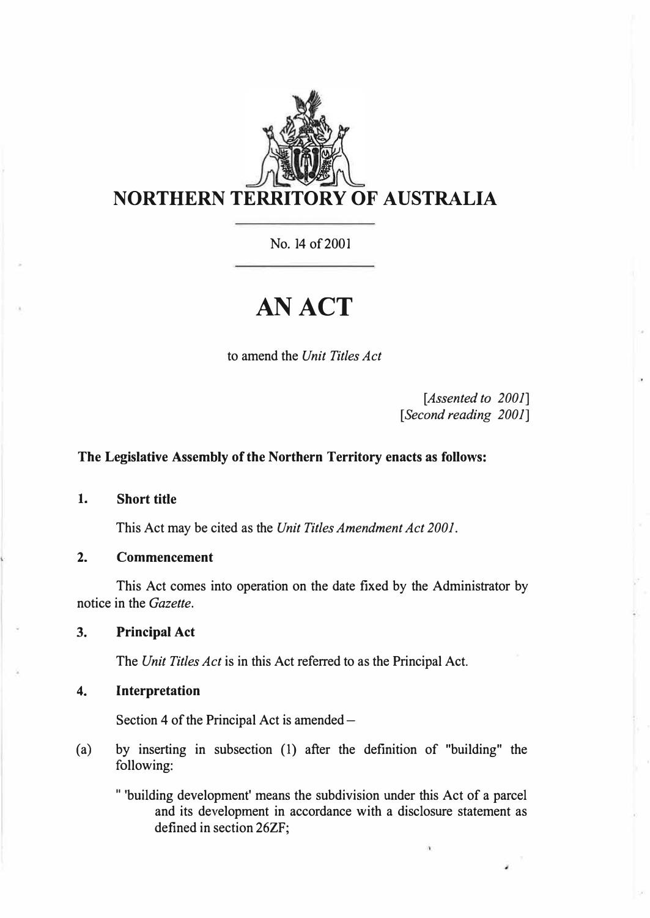

No. 14 of 2001

# **AN ACT**

to amend the *Unit Titles Act* 

*[Assented to 2001]*  [ *Second reading 2001]* 

## **The Legislative Assembly of the Northern Territory enacts as follows:**

### **1. Short title**

This Act may be cited as the *Unit Titles Amendment Act 2001.*

**2. Commencement**

This Act comes into operation on the date fixed by the Administrator by notice in the *Gazette.* 

**3. Principal Act**

The *Unit Titles Act* is in this Act referred to as the Principal Act.

### **4. Interpretation**

Section 4 of the Principal Act is amended  $-$ 

- (a) by inserting in subsection (1) after the definition of "building" the following:
	- " 'building development' means the subdivision under this Act of a parcel and its development in accordance with a disclosure statement as defined in section 26ZF;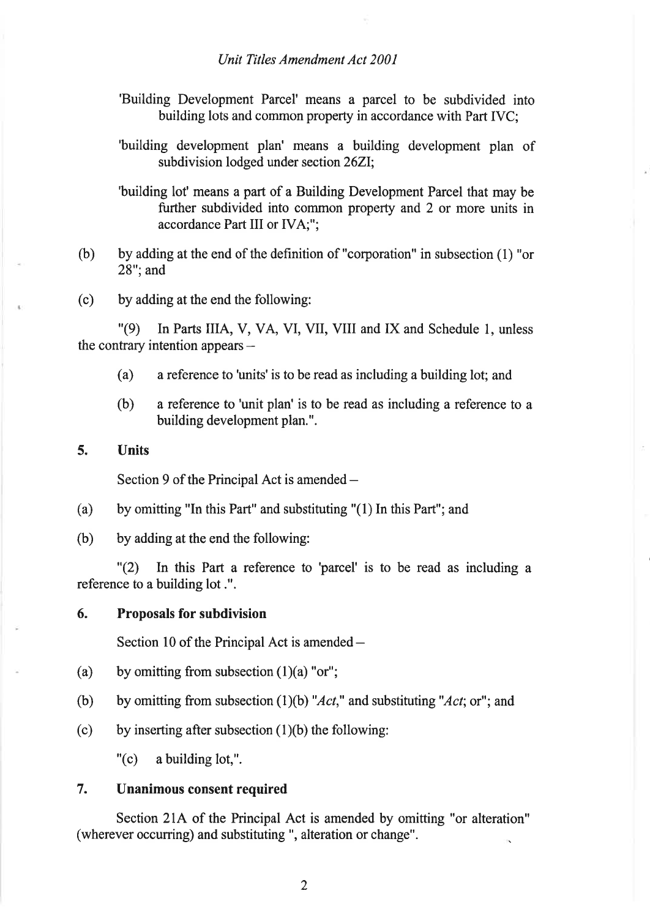### Unit Titles Amendment Act 2001

- 'Building Development Parcel' means a parcel to be subdivided into building lots and common property in accordance with Part IVC:
- 'building development plan' means a building development plan of subdivision lodged under section 262I;

'building lot' means a part of a Building Development Parcel that may be further subdivided into common property and 2 or more units in accordance Part III or IVA;";

- (b) by adding at the end of the definition of "corporation" in subsection (1) "or 28"; and
- (c) by adding at the end the following:

"(9) In Parts IIIA, V, VA, VI, VII, VIII and IX and Schedule l, unless the contrary intention appears  $-$ 

- (a) a reference to 'units'is to be read as including a building lot; and
- (b) a reference to 'unit plan' is to be read as including a reference to <sup>a</sup> building development plan.".

## 5. Units

Section 9 of the Principal Act is amended  $-$ 

- (a) by omitting "In this Part" and substituting "(l) In this Part"; and
- (b) by adding at the end the following:

"(2\ In this Part a reference to 'parcel' is to be read as including <sup>a</sup> reference to a building lot .".

### 6. Proposals for subdivision

Section 10 of the Principal Act is amended -

- (a) by omitting from subsection  $(1)(a)$  "or";
- (b) by omitting from subsection (1)(b) "Act," and substituting "Act; or"; and
- (c) by inserting after subsection  $(1)(b)$  the following:

"(c) a building lot,".

# 7. Unanimous consent required

Section 2lA of the Principal Act is amended by omitting "or alteration" (wherever occurring) and substituting ", alteration or change".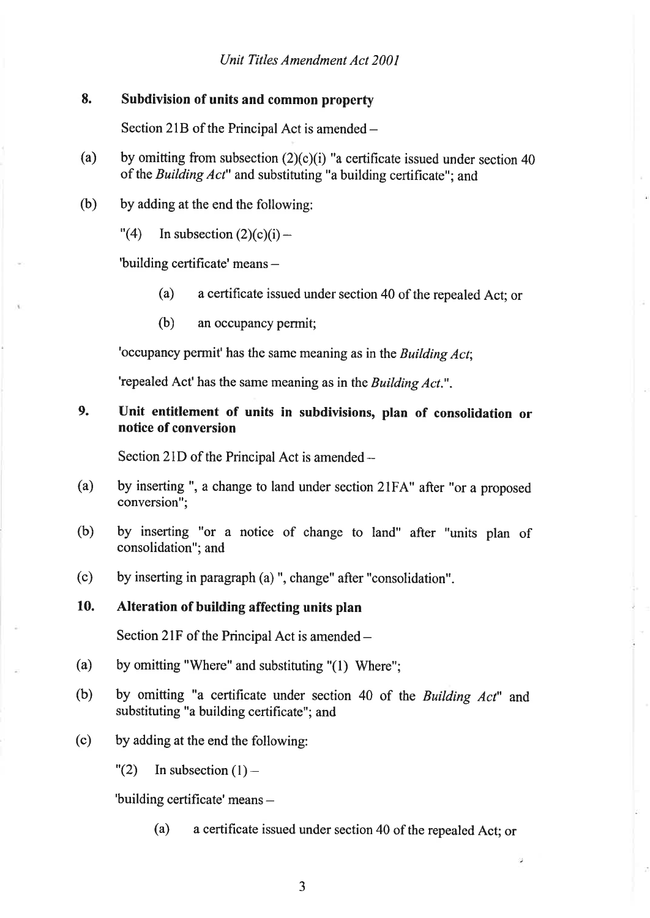### 8. Subdivision of units and common property

Section 21B of the Principal Act is amended -

- by omitting from subsection  $(2)(c)(i)$  "a certificate issued under section 40 of the Building Act" and substituting "a building certificate"; and (a)
- by adding at the end the following: (b)
	- $"(4)$  In subsection  $(2)(c)(i)$  -

'building certificate' means -

- (a) a certificate issued under section 40 of the repealed Act; or
- (b) an occupancy permit;

'occupancy permit' has the same meaning as in the Building Act;

'repealed Act' has the same meaning as in the Building Act.".

### Unit entitlement of units in subdivisions, plan of consolidation or notice of conversion 9.

Section 2lD of the Principal Act is amended-

- by inserting ", a change to land under section 2lFA" after "or a proposed conversion"; (a)
- by inserting "or a notice of change to land" after "units plan of consolidation"; and (b)
- by inserting in paragraph (a) ", change" after "consolidation". (c)

### Alteration of building affecting units plan 10.

Section 2lF of the Principal Act is amended-

- by omitting "Where" and substituting "(l) Where"; (a)
- by omitting "a certificate under section 40 of the Building Act" and substituting "a building certificate"; and (b)
- by adding at the end the following: (c)
	- $"(2)$  In subsection  $(1)$  -

'building certificate' means -

(a) a certificate issued under section 40 of the repealed Act; or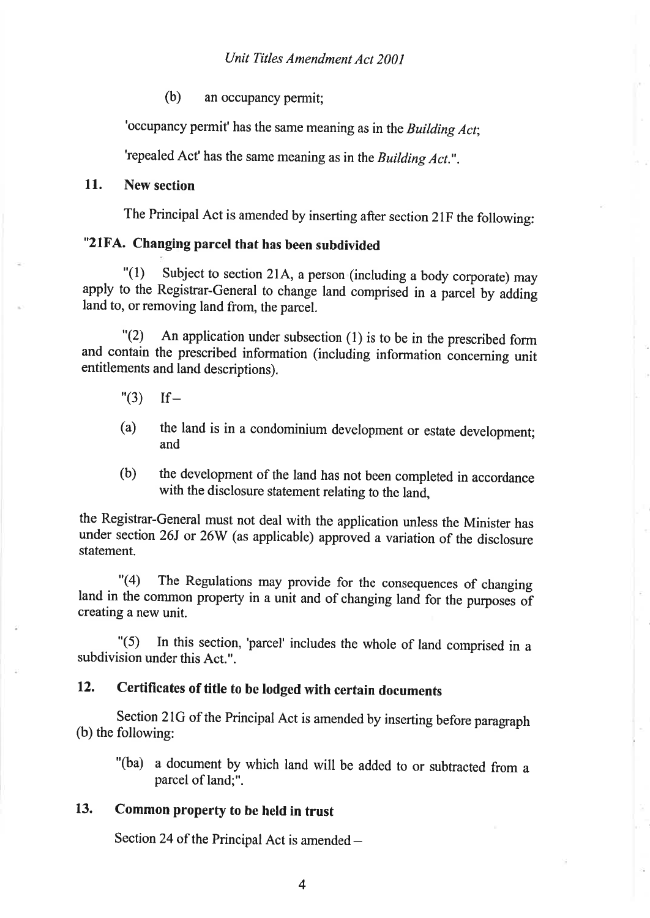(b) an occupancy permit;

'occupancy permit' has the same meaning as in the Building Act;

'repealed Act' has the same meaning as in the Building Act.".

### 11. New section

The Principal Act is amended by inserting after section 2lF the following:

# "2lFA. Changing parcel that has been subdivided

 $\lceil$  (1) Subject to section 21A, a person (including a body corporate) may apply to the Registrar-General to change land comprised in a parcel by adding land to, or removing land from, the parcel.

"(2) An application under subsection (1) is to be in the prescribed form and contain the prescribed information (including information concerning unit entitlements and land descriptions).

- $"(3)$  If-
- (a) the land is in a condominium development or estate development; and
- (b) the development of the land has not been completed in accordance with the disclosure statement relating to the land.

the Registrar-General must not deal with the application unless the Minister has under section 26J or 26W (as applicable) approved a variation of the disclosure statement.

"(4) The Regulations may provide for the consequences of changing land in the common property in a unit and of changing land for the purposes of creating a new unit.

"(5) In this section, 'parcel' includes the whole of land comprised in <sup>a</sup> subdivision under this Act.".

# 12. Certificates of title to be lodged with certain documents

section 2lG of the Principal Act is amended by inserting before paragraph (b) the following:

- "(ba) a document by which land will be added to or subtracted from <sup>a</sup> parcel of land;".
- 13. Common property to be held in trust

Section 24 of the Principal Act is amended  $-$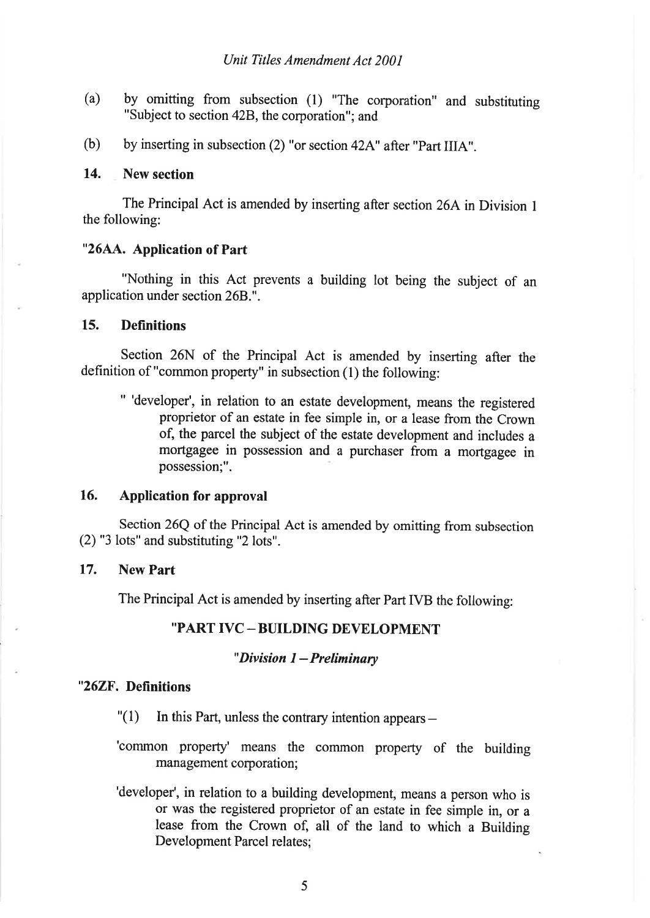- (a) by omitting from subsection (l) "The corporation" and substituting "Subject to section 42B, the corporation"; and
- (b) by inserting in subsection (2) "or section 42A" after "Part IIIA".

#### 14. New section

The Principal Act is amended by inserting after section 26A in Division I the following:

### "26AA. Application of Part

"Nothing in this Act prevents a building lot being the subject of an application under section 26B..".

### 15. Definitions

Section 26N of the Principal Act is amended by inserting after the definition of "common property" in subsection (l) the following:

" 'developer', in relation to an estate development, means the registered proprietor of an estate in fee simple in, or a lease from the Crown of, the parcel the subject of the estate development and includes a mortgagee in possession and a purchaser from a mortgagee in possession;".

## 16. Application for approval

Section 26Q of the Principal Act is amended by omitting from subsection (2) "3 lots" and substituting "2 lots".

## 17. New Part

The Principal Act is amended by inserting after Part IVB the following:

# "PART IVC-BUILDING DEVELOPMENT

### " Division  $1$  – Preliminary

### "26ZF. Definitions

- $''(1)$  In this Part, unless the contrary intention appears –
- 'common property' means the common property of the building management corporation;
- 'developer', in relation to a building development, means a person who is or was the registered proprietor of an estate in fee simple in, or <sup>a</sup> lease from the Crown of, all of the land to which a Building Development Parcel relates;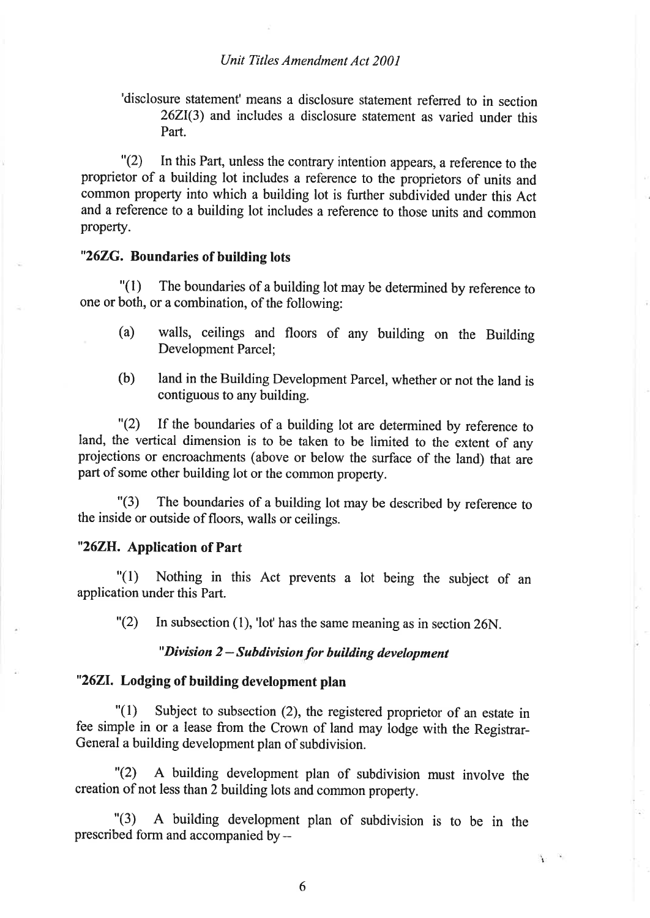### Unit Titles Amendment Act 2001

'disclosure statement'means a disclosure statement referred to in section 262I(3) and includes a disclosure statement as varied under this Part.

"(2) In this Part, unless the contrary intention appears, a reference to the proprietor of a building lot includes a reference to the proprietors of units and common property into which a building lot is further subdivided under this Act and a reference to a building lot includes a reference to those units and common property.

### "262G. Boundaries of building lots

"(l) The boundaries of a building lot may be determined by reference to one or both, or a combination, of the following:

- (a) walls, ceilings and floors of any building on the Building Development Parcel;
- (b) land in the Building Development Parcel, whether or not the land is contiguous to any building.

"(2) If the boundaries of a building lot are determined by reference to land, the vertical dimension is to be taken to be limited to the extent of any projections or encroachments (above or below the surface of the land) that are part of some other building lot or the common property.

"(3) The boundaries of a building lot may be described by reference to the inside or outside of floors, walls or ceilings.

### "262H. Application of Part

"(l) Nothing in this Act prevents a lot being the subject of an application under this Part.

 $"(2)$  In subsection (1), 'lot' has the same meaning as in section 26N.

# "Division 2 - Suhdivísion for building development

# "2621. Lodging of building development plan

 $\binom{1}{1}$  Subject to subsection (2), the registered proprietor of an estate in fee simple in or a lease from the crown of land may lodge with the Registrar-General a building development plan of subdivision.

"(2) A building development plan of subdivision must involve the creation of not less than 2 building lots and common property.

"(3) A building development plan of subdivision is to be in the prescribed form and accompanied by  $-$ 

Y

6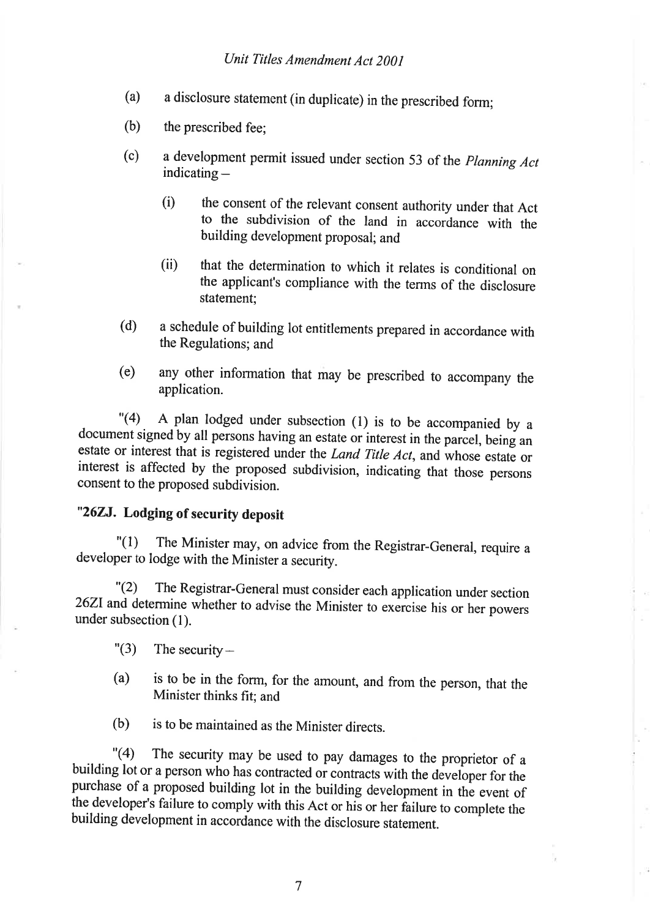- (a) a disclosure statement (in duplicate) in the prescribed form;
- (b) the prescribed fee;
- $(c)$ a development permit issued under section 53 of the Planning Act indicating  $-$ 
	- (i) the consent of the relevant consent authority under that Act to the subdivision of the land in accordance with the building development proposal; and
	- (ii) that the determination to which it relates is conditional on the applicant's compliance with the terms of the disclosure statement;
- (d) a schedule of building lot entitlements prepared in accordance with the Regulations; and
- (e) any other information that may be prescribed to accompany the application.

.<br>مما  $"(4)$  A plan lodged under subsection (1) is to be accompanied by a document signed by all persons having an estate or interest in the parcel, being an estate or interest that is registered under the *Land Title Act*, and whose estate or interest is affected by the proposed subdivision, indicating that those persons consent to the proposed subdivision.

# "262J. Lodging of security deposit

"(l) The Minister may, on advice from the Registrar-General, require <sup>a</sup> developer to lodge with the Minister a security.

"(2) The Registrar-General must consider each application under section 26ZI and determine whether to advise the Minister to exercise his or her powers under subsection (l).

- $"(3)$  The security-
- (a) is to be in the form, for the amount, and from the person, that the Minister thinks fit; and
- (b) is to be maintained as the Minister directs.

"(4) The security may be used to pay damages to the proprietor of a building lot or a person who has contracted or contracts with the developer for the purchase of a proposed building lot in the building development in the event of the developer's failure to comply with this Act or his or her failure to complete the building development in accordance with the disclosure statement.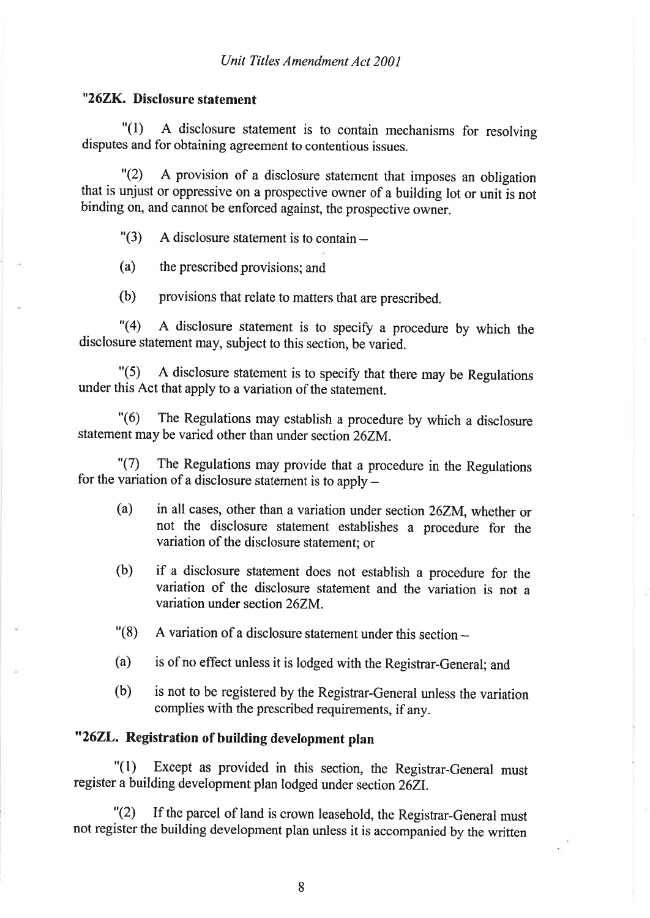### "262R. Disclosure statement

"(1) A disclosure statement is to contain mechanisms for resolving disputes and for obtaining agreement to contentious issues.

"(2) A provision of a disclosure statement that imposes an obligation that is unjust or oppressive on a prospective owner of a building lot or unit is not binding on, and cannot be enforced against, the prospective owner.

 $"(3)$  A disclosure statement is to contain –

(a) the prescribed provisions; and

(b) provisions that relate to matters that are prescribed.

"(4) A disclosure statement is to specify a procedure by which the disclosure statement may, subject to this section, be varied.

"(5) <sup>A</sup>disclosure statement is to specify that there may be Regulations under this Act that apply to a variation of the statement.

"(6) The Regulations may establish a procedure by which a disclosure statement may be varied other than under section 26ZM.

"(7) The Regulations may provide that a procedure in the Regulations for the variation of a disclosure statement is to apply -

- (a) in all cases, other than a variation under section26zM, whether or not the disclosure statement establishes a procedure for the variation of the disclosure statement; or
- (b) if a disclosure statement does not establish a procedure for the variation of the disclosure statement and the variation is not <sup>a</sup> variation under section 262M.
- $\degree$  (8) A variation of a disclosure statement under this section  $-$
- (a) is of no effect unless it is lodged with the Registrar-General; and
- (b) is not to be registered by the Registrar-General unless the variation complies with the prescribed requirements, if any.

# "262L. Registration of building development plan

"(1) Except as provided in this section, the Registrar-General must register a building development plan lodged under section26Zl.

"(2) If the parcel of land is crown leasehold, the Registrar-General must not register the building development plan unless it is accompanied by the written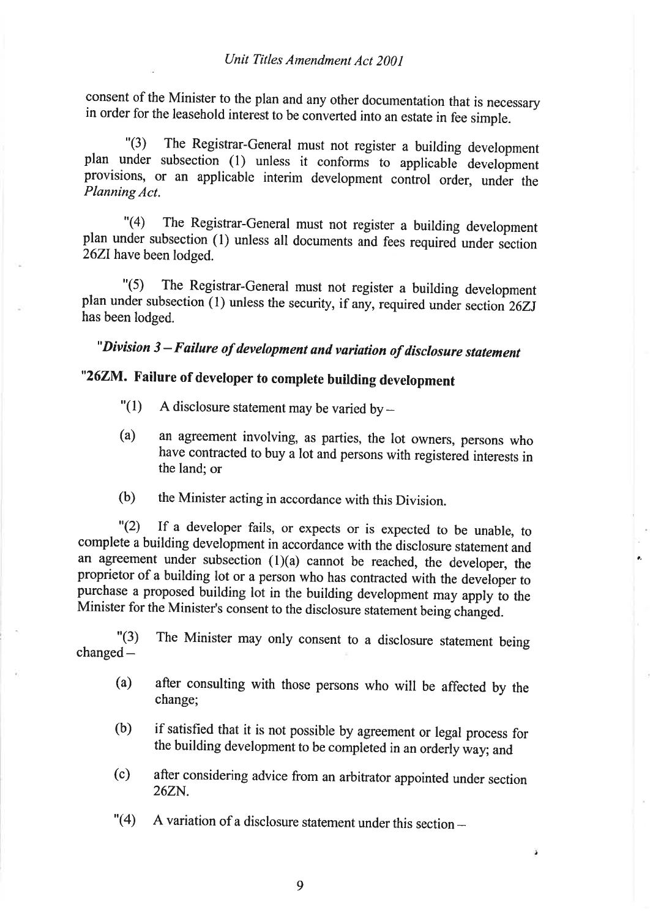consent of the Minister to the plan and any other documentation that is necessary in order for the leasehold interest to be converted into an estate in fee simple.

"(3) The Registrar-General must not register a building development plan under subsection (l) unless it conforms to applicable\* development provisions, or an applicable interim development control order, under the Planning Act.

"(4) The Registrar-General must not register a building development plan under subsection (l) unless all documents and fees required under section 26ZIhave been lodged.

"(5) The Registrar-General must not register a building development plan under subsection  $(1)$  unless the security, if any, required under section  $26ZJ$ has been lodged.

# " Division 3-Failure of development and variation of disclosure statement

# "26ZM. Failure of developer to complete building development

- $"(1)$  A disclosure statement may be varied by  $-$
- (a) an agreement involving, as parties, the lot owners, persons who have contracted to buy a lot and persons with registered interests in the land; or
- (b) the Minister acting in accordance with this Division.

"(2) If a developer fails, or expects or is expected to be unable, to complete a building development in accordance with the disclosure statement and an agreement under subsection  $(1)(a)$  cannot be reached, the developer, the proprietor of a building lot or a person who has contracted with the developer to purchase a proposed building lot in the building development may apply io the Minister for the Minister's consent to the disclosure statement being changed.

"(3)  $changed -$ The Minister may only consent to a disclosure statement being

- (a) after consulting with those persons who will be affected by the change;
- (b) if satisfied that it is not possible by agreement or legal process for the building development to be completed in an orderly way; and
- (c) after considering advice from an arbitrator appointed under section 262N.

ä

 $"$ (4) A variation of a disclosure statement under this section  $-$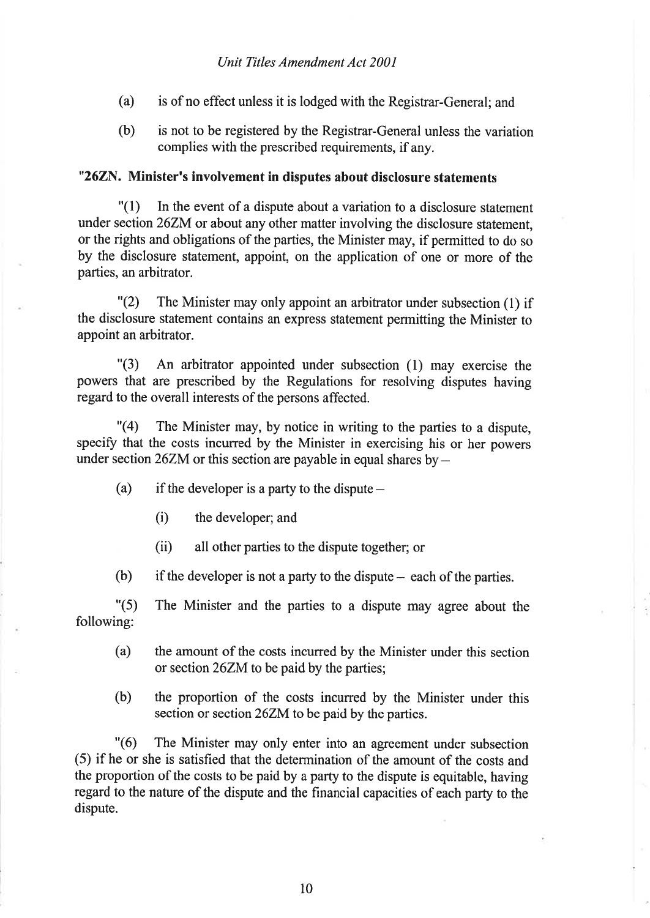- (a) is of no effect unless it is lodged with the Registrar-General; and
- (b) is not to be registered by the Registrar-General unless the variation complies with the prescribed requirements, if any.

### "262N. Minister's involvement in disputes about disclosure statements

 $\binom{1}{1}$  In the event of a dispute about a variation to a disclosure statement under section 26ZM or about any other matter involving the disclosure statement, or the rights and obligations of the parties, the Minister may, if permitted to do so by the disclosure statement, appoint, on the application of one or more of the parties, an arbitrator.

"(2) The Minister may only appoint an arbitrator under subsection (l) if the disclosure statement contains an express statement permitting the Minister to appoint an arbitrator.

"(3) An arbitrator appointed under subsection (l) may exercise the powers that are prescribed by the Regulations for resolving disputes having regard to the overall interests of the persons affected.

"(4) The Minister may, by notice in writing to the parties to a dispute, specify that the costs incurred by the Minister in exercising his or her powers under section 26ZM or this section are payable in equal shares by  $-$ 

- (a) if the developer is a party to the dispute  $-$ 
	- (i) the developer; and
	- (ii) all other parties to the dispute together; or

(b) if the developer is not a party to the dispute  $-$  each of the parties.

"(5) following: The Minister and the parties to a dispute may agree about the

- (a) the amount of the costs incurred by the Minister under this section or section 26ZM to be paid by the parties;
- (b) the propofion of the costs incurred by the Minister under this section or section 26ZM to be paid by the parties.

"(6) The Minister may only enter into an agreement under subsection (5) if he or she is satisfied that the determination of the amount of the costs and the proportion of the costs to be paid by a party to the dispute is equitable, having regard to the nature of the dispute and the financial capacities of each party to the dispute.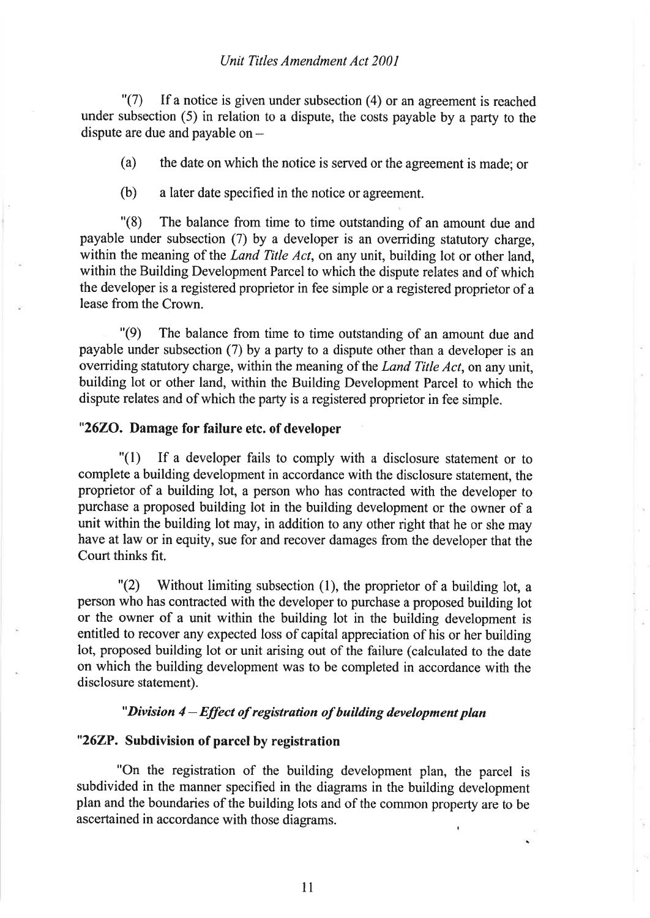### Unit Titles Amendment Act 2001

 $\Gamma(7)$  If a notice is given under subsection (4) or an agreement is reached under subsection (5) in relation to a dispute, the costs payable by a party to the dispute are due and payable on  $-$ 

(a) the date on which the notice is served or the agreement is made; or

(b) a later date specified in the notice or agreement.

"(8) The balance from time to time outstanding of an amount due and payable under subsection (7) by a developer is an oveniding statutory charge, within the meaning of the *Land Title Act*, on any unit, building lot or other land, within the Building Development Parcel to which the dispute relates and of which the developer is a registered proprietor in fee simple or a registered proprietor of a lease from the Crown.

"(9) The balance from time to time outstanding of an amount due and payable under subsection  $(7)$  by a party to a dispute other than a developer is an overriding statutory charge, within the meaning of the *Land Title Act*, on any unit, building lot or other land, within the Building Development Parcel to which the dispute relates and of which the party is a registered proprietor in fee simple.

### "2620. Damage for failure etc. of developer

"(l) If a developer fails to comply with a disclosure statement or to complete a building development in accordance with the disclosure statement, the proprietor of a building lot, a person who has contracted with the developer to purchase a proposed building lot in the building development or the owner of <sup>a</sup> unit within the building lot may, in addition to any other right that he or she may have at law or in equity, sue for and recover damages from the developer that the Court thinks fit.

 $\Gamma(2)$  Without limiting subsection (1), the proprietor of a building lot, a person who has contracted with the developer to purchase a proposed building lot or the owner of a unit within the building lot in the building development is entitled to tecover any expected loss of capital appreciation of his or her building lot, proposed building lot or unit arising out of the failure (calculated to the date on which the building development was to be completed in accordance with the disclosure statement).

### " Division  $4$  – Effect of registration of building development plan

### "262P. Subdivision of parcel by registration

"On the registration of the building development plan, the parcel is subdivided in the manner specified in the diagrams in the building development plan and the boundaries of the building lots and of the common property are to be ascertained in accordance with those diagrams.

ll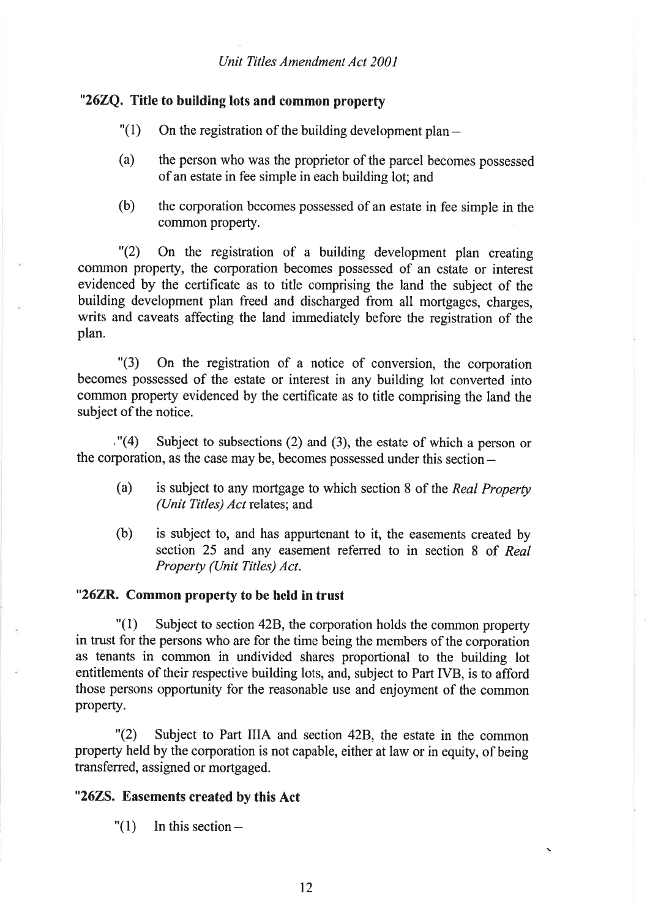## "262Q. Title to building lots and common property

- $"(1)$  On the registration of the building development plan -
- (a) the person who was the proprietor of the parcel becomes possessed of an estate in fee simple in each building lot; and
- (b) the corporation becomes possessed of an estate in fee simple in the common property.

"(2) On the registration of a building development plan creating cornmon property, the corporation becomes possessed of an estate or interest evidenced by the certificate as to title comprising the land the subject of the building development plan freed and discharged from all mortgages, charges, writs and caveats affecting the land immediately before the registration of the plan.

"(3) On the registration of a notice of conversion, the corporation becomes possessed of the estate or interest in any building lot converted into common property evidenced by the certificate as to title comprising the land the subject of the notice.

 $(4)$  Subject to subsections (2) and (3), the estate of which a person or the corporation, as the case may be, becomes possessed under this section -

- (a) is subject to any mortgage to which section 8 of the Real Property (Unit Titles) Act relates; and
- (b) is subject to, and has appurtenant to it, the easements created by section 25 and any easement referred to in section 8 of Real Property (Unit Titles) Act.

### "26ZR. Common property to be held in trust

 $"(1)$  Subject to section 42B, the corporation holds the common property in trust for the persons who are for the time being the members of the corporation as tenants in common in undivided shares proportional to the building lot entitlements of their respective building lots, and, subject to Part IVB, is to afford those persons opportunity for the reasonable use and enjoyment of the common property.

"(2) Subject to Part IIIA and section 428, the estate in the common property held by the corporation is not capable, either at law or in equity, of being transferred, assigned or mortgaged.

### "2625. Easements created by this Act

" $(1)$  In this section -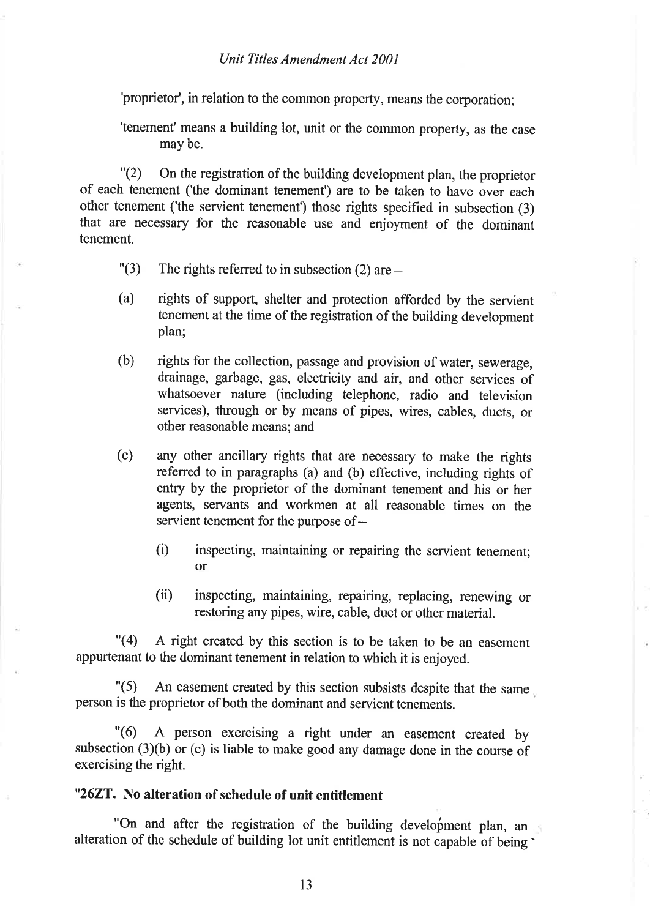'proprietor', in relation to the common property, means the corporation;

'tenement' means a building lot, unit or the common property, as the case may be.

"(2) On the registration of the building development plan, the proprietor of each tenement ('the dominant tenement') are to be taken to have over each other tenement ('the servient tenement') those rights specified in subsection (3) that are necessary for the reasonable use and enjoyment of the dominant tenement.

- "(3) The rights referred to in subsection  $(2)$  are  $-$
- (a) rights of support, shelter and protection afforded by the servient tenement at the time of the registration of the building development plan;
- (b) rights for the collection, passage and provision of water, sewerage, drainage, garbage, gas, electricity and air, and other services of whatsoever nature (including telephone, radio and television services), through or by means of pipes, wires, cables, ducts, or other reasonable means; and
- (c) any other ancillary rights that are necessary to make the rights referred to in paragraphs (a) and (b) effective, including rights of entry by the proprietor of the dominant tenement and his or her agents, servants and workmen at all reasonable times on the servient tenement for the purpose of -
	- (i) inspecting, maintaining or repairing the servient tenement; or
	- (ii) inspecting, maintaining, repairing, replacing, renewing or restoring any pipes, wire, cable, duct or other material.

"(4) A right created by this section is to be taken to be an easement appurtenant to the dominant tenement in relation to which it is enjoyed.

"(5) An easement created by this section subsists despite that the same person is the proprietor of both the dominant and servient tenements.

"(6) A person exercising a right under an easement created by subsection (3)(b) or (c) is liable to make good any damage done in the course of exercising the right.

### "262T. No alteration of schedule of unit entitlement

"On and after the registration of the building development plan, an alteration of the schedule of building lot unit entitlement is not capable of being'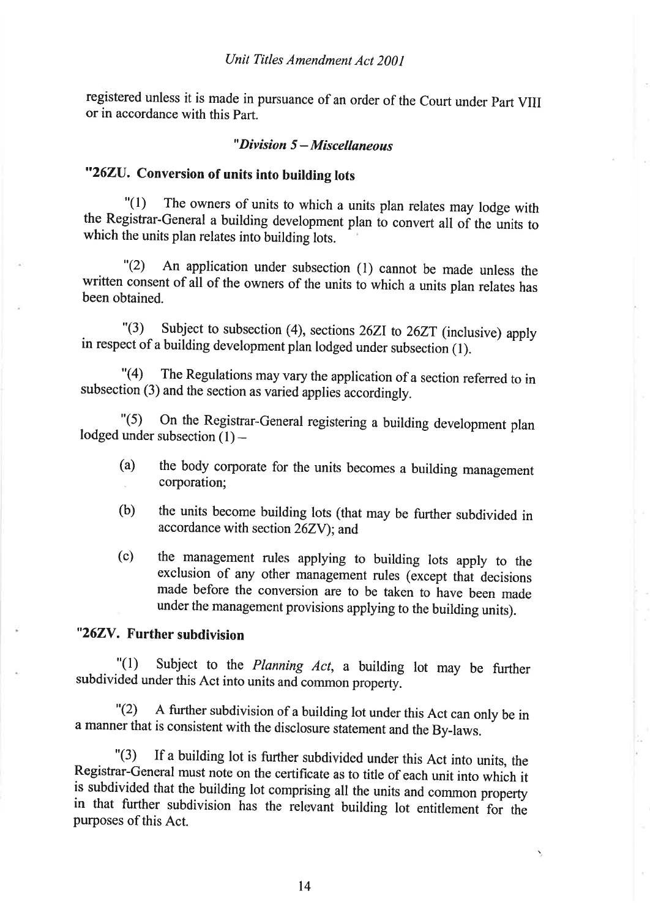registered unless it is made in pursuance of an order of the Court under part VIJJ or in accordance with this part.

### " $Division 5-Miscellaneous$

# "262U. Conversion of units into building lots

"(l) The owners of units to which a units plan relates may lodge with the Registrar-General a building development plan to convert all of the units to which the units plan relates into building lots.

"(2) An application under subsection (l) cannot be made unless the written consent of all of the owners of the units to which a units plan relates has been obtained.

. "(3) subject to subsection (4), sections 262r to 262r (inclusive) apply in respect of a building development plan lodged under subsection (l).

"(4) The Regulations may vary the application of a section referred to in subsection (3) and the section as varied applies accordingly.

"(5) On the Registrar-General registering a building development plan lodged under subsection  $(1)$  -

- (a) the body corporate for the units becomes a building management . corporation;
- (b) the units become building lots (that may be further subdivided in accordance with section 26Zy); and
- (c) the management rures applying to building lots apply to the exclusion of any other management rules (except thàt decisions made before the conversion are to be taken to have been made under the management provisions applying to the building units).

# "262V. Further subdivision

"(1) Subject to the *Planning Act*, a building<br>subdivided under this Act into units and common property.  $''(1)$  Subject to the *Planning Act*, a building lot may be further

"(2) <sup>A</sup>further subdivision of a building lot under this Act can only be in <sup>a</sup>manner that is consistent with the disclosure statement and the By-laws.

"(3) If a building lot is further subdivided under this Act into units, the Registrar-General must note on the certificate as to title of each unit into which it is subdivided that the building lot comprising all the units and common property in that further subdivision has the relevant building lot entitlement for the purposes of this Act.

t4

 $\overline{\phantom{0}}$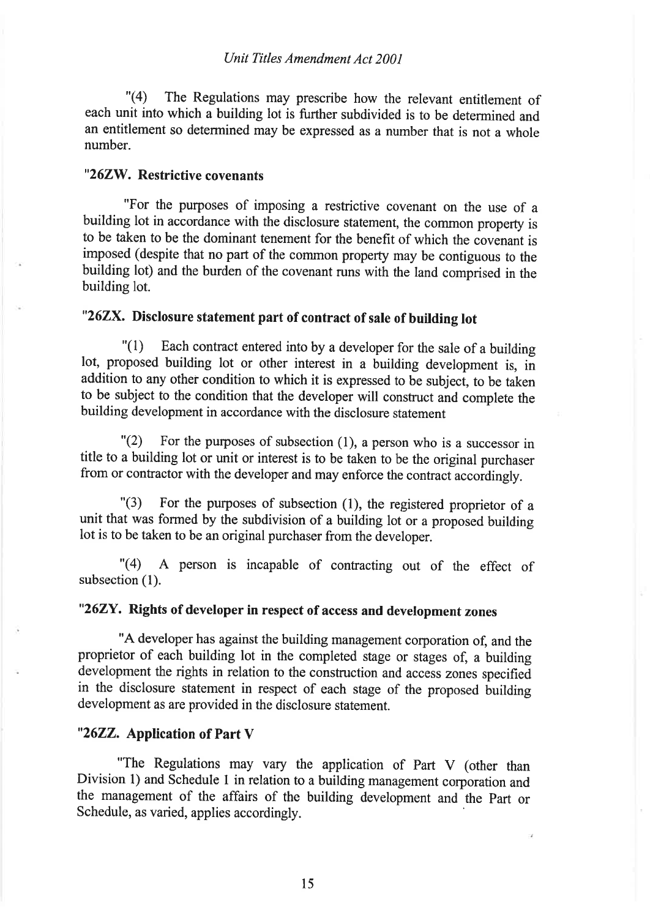"(4) The Regulations may prescribe how the relevant entitlement of each unit into which a building lot is further subdivided is to be determined and an entitlement so determined may be expressed as a number that is not a whole number.

# "262W. Restrictive covenants

"For the purposes of imposing a restrictive covenant on the use of <sup>a</sup> building lot in accordance with the disclosure statement, the common property is to be taken to be the dominant tenement for the benefit of which the covenant is imposed (despite that no part of the common propefty may be contiguous to the building lot) and the burden of the covenant runs with the land comprised in the building lot.

# "262X. Disclosure statement part of contract of sale of building lot

 $\binom{1}{1}$  Each contract entered into by a developer for the sale of a building lot, proposed building lot or other interest in a building development is, in addition to any other condition to which it is expressed to be subject, to be taken to be subject to the condition that the developer will construct and complete the building development in accordance with the disclosure statement

 $"(2)$  For the purposes of subsection (1), a person who is a successor in title to a building lot or unit or interest is to be taken to be the original purchaser from or contractor with the developer and may enforce the contract accordingly.

"(3) For the purposes of subsection (1), the registered proprietor of <sup>a</sup> unit that was formed by the subdivision of a building lot or a proposed building lot is to be taken to be an original purchaser from the developer.

"(4) A person is incapable of contracting out of the effect of subsection (1).

# "262Y. Rights of developer in respect of access and development zones

"A developer has against the building management corporation of, and the proprietor of each building lot in the completed stage or stages of, a building development the rights in relation to the construction and access zones specified in the disclosure statement in respect of each stage of the proposed building development as are provided in the disclosure statement.

# "2622. Application of Part V

"The Regulations may vary the application of Part V (other than Division l) and Schedule I in relation to a building management corporation and the management of the affairs of the building development and the part or Schedule, as varied, applies accordingly.

15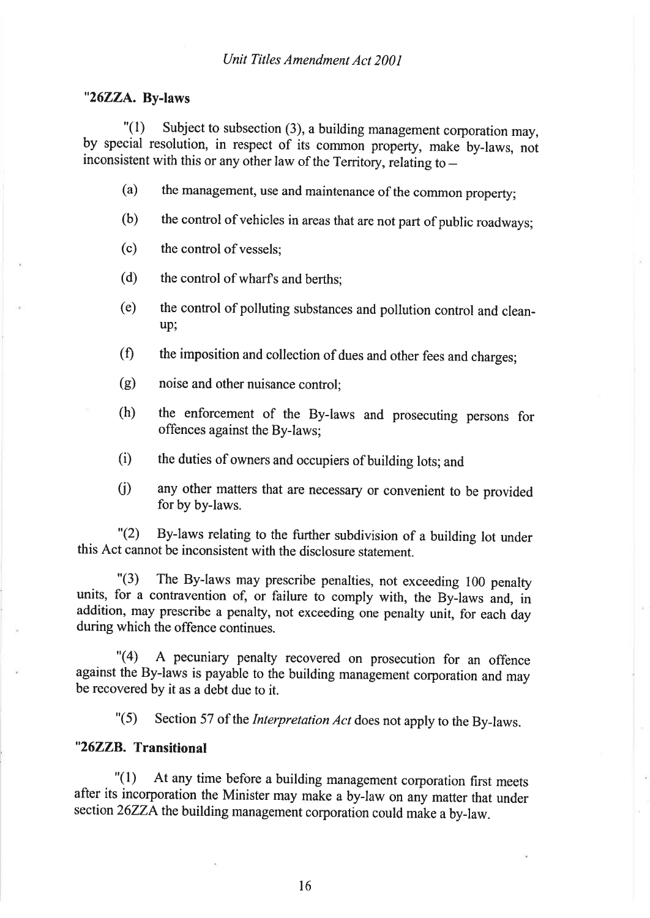### "26ZZA. By-laws

 $"(1)$  Subject to subsection (3), a building management corporation may, by special resolution, in respect of its common property, make by-laws, not inconsistent with this or any other law of the Territory, relating to  $-$ 

- $(a)$  the management, use and maintenance of the common property;
- (b) the control of vehicles in areas that are not part of public roadways;
- (c) the control ofvessels;
- (d) the control of wharfs and berths;
- (e) the control of polluting substances and pollution control and cleanup;
- the imposition and collection of dues and other fees and charges;  $(f)$
- noise and other nuisance control; (s)
- the enforcement of the By-laws and prosecuting persons for offences against the By-laws; (h)
- the duties of owners and occupiers of building lots; and  $(i)$
- any other matters that are necessary or convenient to be provided for by by-laws. û)

"(2) By-laws relating to the further subdivision of a building lot under this Act cannot be inconsistent with the disclosure statement.

 $\degree$ (3) The By-laws may prescribe penalties, not exceeding 100 penalty units, for a contravention of, or failure to comply with, the By-laws and, in addition, may prescribe a penalty, not exceeding one penalty unit, for each day during which the offence continues.

"(4) A pecuniary penalty recovered on prosecution for an offence against the By-laws is payable to the building management corporation and may be recovered by it as a debt due to it.

"(5) Section 57 of the *Interpretation Act* does not apply to the By-laws.

# "26ZZB. Transitional

"(l) At any time before a building management corporation first meets after its incorporation the Minister may make a by-law on any matter that under section 26ZZA the building management corporation could make a by-law.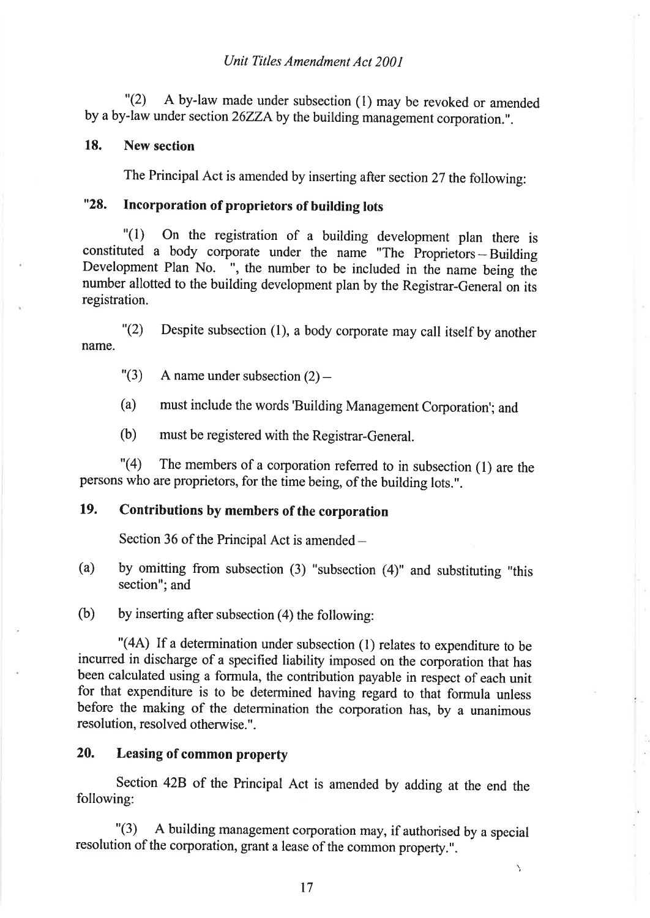"(2) A by-law made under subsection (l) may be revoked or amended by a by-law under section 26ZZA by the building management corporation.".

### 18. New section

The Principal Act is amended by inserting after section 27 the following:

# "28. Incorporation of proprietors of building lots

"(1) on the registration of a building development plan there is constituted a body corporate under the name "The  $\overrightarrow{P}$  Proprietors – Building constituted a body corporate under the name "The Proprietors – Building<br>Development Plan No. ", the number to be included in the name being the number allotted to the building development plan by the Registrar-General on its registration.

"(2) Despite subsection (l), a body corporate may call itself by another name.

 $"(3)$  A name under subsection  $(2)$  -

(a) must include the words'Building Management Corporation'; and

(b) must be registered with the Registrar-General.

 $\lceil (4) \rceil$  The members of a corporation referred to in subsection (1) are the persons who are proprietors, for the time being, of the building lots.".

# 19. Contributions by members of the corporation

Section 36 of the Principal Act is amended  $-$ 

(a) by omitting from subsection (3) "subsection (4)" and substituting "this section"; and

(b) by inserting after subsection (4) the following:

"(44) If a determination under subsection (l) relates to expenditure to be incurred in discharge of a specified liability imposed on the corporation that has been calculated using a formula, the contribution payable in respect of each unit for that expenditure is to be determined having regard to that formula unless before the making of the determination the corporation has, by a unanimous resolution, resolved otherwise. ".

# 20. Leasing of common property

section 428 of the Principal Act is amended by adding at the end the following:

"(3) <sup>A</sup>building management corporation may, if authorised by a special resolution of the corporation, grant a lease of the common property.".

\,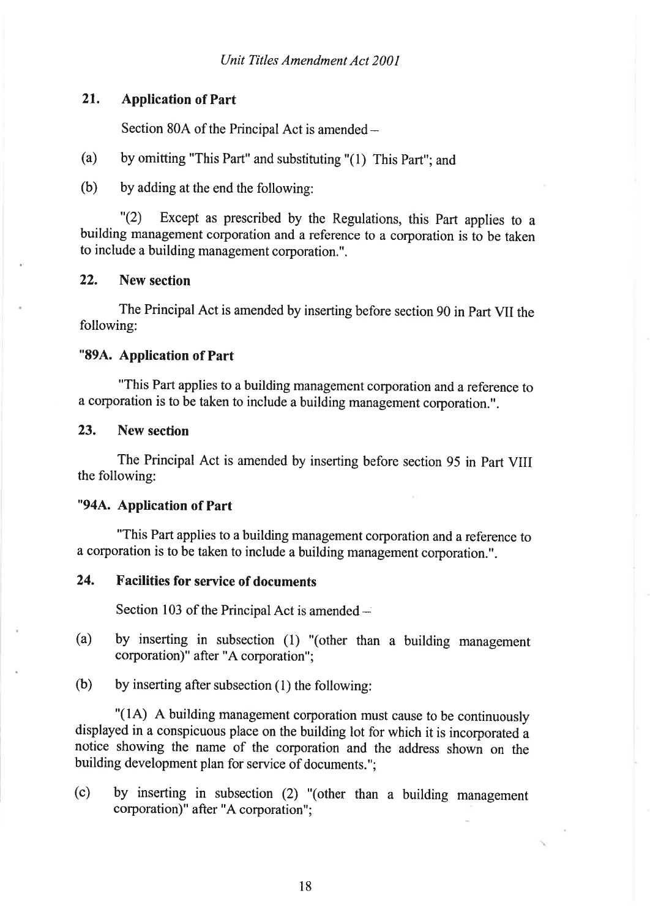## 21. Application of Part

Section 80A of the Principal Act is amended -

- (a) by omitting "This Part" and substituting "(l) This part"; and
- (b) by adding at the end the following:

"(2) Except as prescribed by the Regulations, this part applies to <sup>a</sup> building management corporation and a reference to a corporation is to be taken to include a building management corporation.".

## 22. New section

The Principal Act is amended by inserting before section 90 in Part VII the following:

### "894. Application of Part

"This Part applies to a building management corporation and a reference to a corporation is to be taken to include a building management corporation.".

### 23. New section

The Principal Act is amended by inserting before section 95 in Part VIII the following:

### "944. Application of Part

"This Part applies to a building management corporation and a reference to a corporation is to be taken to include a building management corporation.".

## 24. Facilities for service of documents

Section 103 of the Principal Act is amended -

- (a) by inserting in subsection (1) "(other than a building management corporation)" after "A corporation";
- (b) by inserting after subsection  $(1)$  the following:

"(lA) A building management corporation must cause to be continuously displayed in a conspicuous place on the building lot for which it is incorporated <sup>a</sup> notice showing the name of the corporation and the address shown on the building development plan for service of documents.";

(c) by inserting in subsection (2) "(other than a building management corporation)" after "A corporation";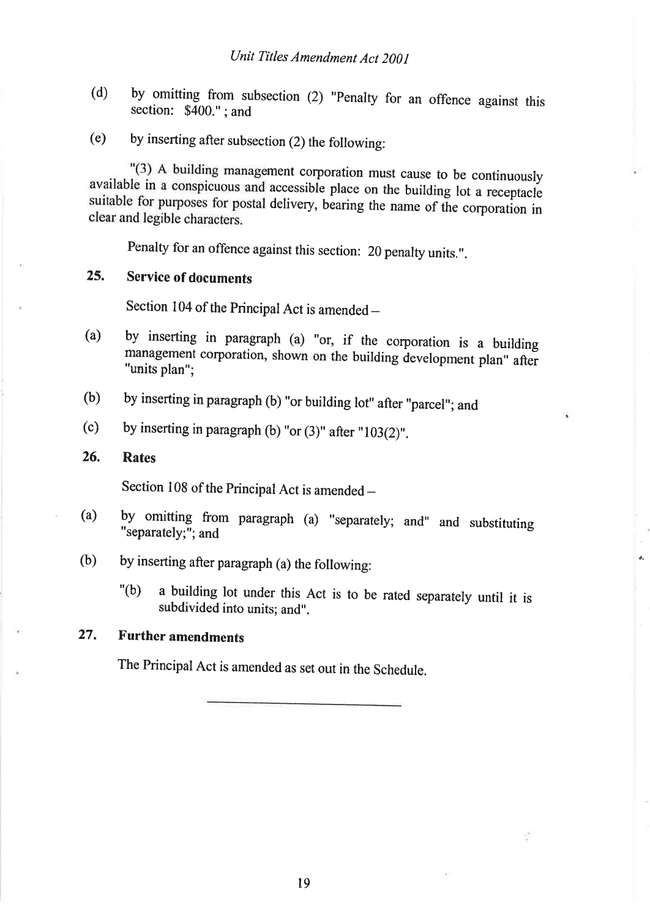- (d) by omitting from subsection (2) "Penalty for an offence against this section: \$400."; and section:  $$400."$ ; and
- (e) by inserting after subsection (2) the following:

"(3) A building management corporation must cause to be continuously available in a conspicuous and accessible place on the building lot a receptacle suitable for purposes for postal delivery, bearing the name of the corporation in clear and legible characters.

Penalty for an offence against this section: 20 penalty units.".

# 25. Service of documents

Section 104 of the Principal Act is amended -

- (a) by inserting in paragraph (a) "or,\_ if\_ the corporation is a building management corporation, shown on the building development plan" after "units plan";
- by inserting in paragraph (b) "or building lot" after "parcel"; and (b)
- by inserting in paragraph (b) "or  $(3)$ " after "103 $(2)$ ". (c)

#### Rates 26.

Section 108 of the Principal Act is amended -

- by omitting from paragraph (a) "separately; and" and substituting "separately;"; and (a)
- by inserting after paragraph (a) the following: (b)
	- "(b) a building lot under this Act is to be rated separately until it is subdivided into units; and".

### Further amendments  $27.$

The Principal Act is amended as set out in the Schedule.